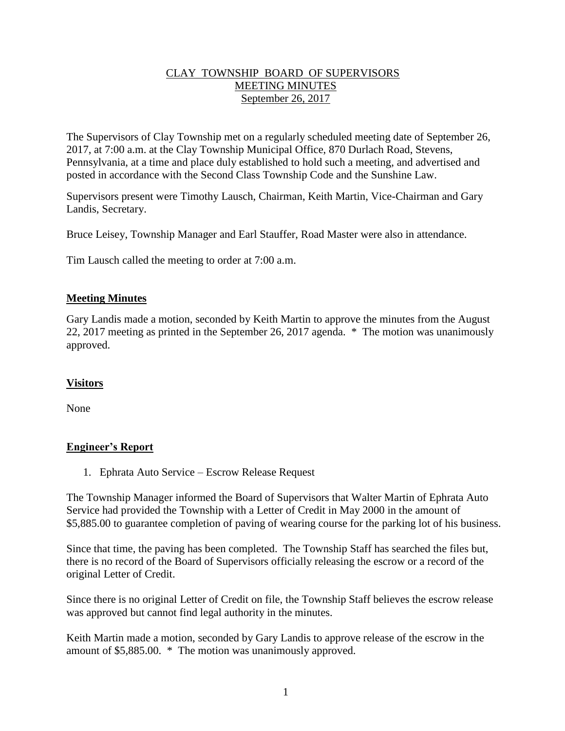# CLAY TOWNSHIP BOARD OF SUPERVISORS MEETING MINUTES September 26, 2017

The Supervisors of Clay Township met on a regularly scheduled meeting date of September 26, 2017, at 7:00 a.m. at the Clay Township Municipal Office, 870 Durlach Road, Stevens, Pennsylvania, at a time and place duly established to hold such a meeting, and advertised and posted in accordance with the Second Class Township Code and the Sunshine Law.

Supervisors present were Timothy Lausch, Chairman, Keith Martin, Vice-Chairman and Gary Landis, Secretary.

Bruce Leisey, Township Manager and Earl Stauffer, Road Master were also in attendance.

Tim Lausch called the meeting to order at 7:00 a.m.

### **Meeting Minutes**

Gary Landis made a motion, seconded by Keith Martin to approve the minutes from the August 22, 2017 meeting as printed in the September 26, 2017 agenda. \* The motion was unanimously approved.

# **Visitors**

None

#### **Engineer's Report**

1. Ephrata Auto Service – Escrow Release Request

The Township Manager informed the Board of Supervisors that Walter Martin of Ephrata Auto Service had provided the Township with a Letter of Credit in May 2000 in the amount of \$5,885.00 to guarantee completion of paving of wearing course for the parking lot of his business.

Since that time, the paving has been completed. The Township Staff has searched the files but, there is no record of the Board of Supervisors officially releasing the escrow or a record of the original Letter of Credit.

Since there is no original Letter of Credit on file, the Township Staff believes the escrow release was approved but cannot find legal authority in the minutes.

Keith Martin made a motion, seconded by Gary Landis to approve release of the escrow in the amount of \$5,885.00. \* The motion was unanimously approved.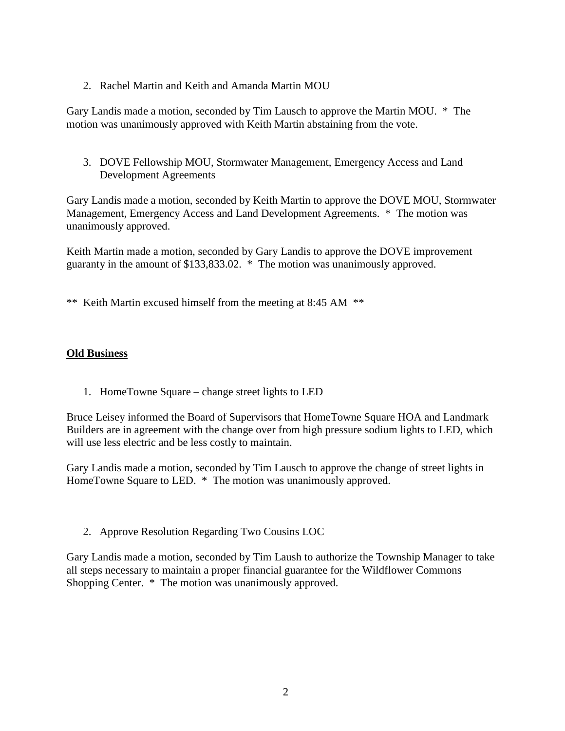2. Rachel Martin and Keith and Amanda Martin MOU

Gary Landis made a motion, seconded by Tim Lausch to approve the Martin MOU. \* The motion was unanimously approved with Keith Martin abstaining from the vote.

3. DOVE Fellowship MOU, Stormwater Management, Emergency Access and Land Development Agreements

Gary Landis made a motion, seconded by Keith Martin to approve the DOVE MOU, Stormwater Management, Emergency Access and Land Development Agreements. \* The motion was unanimously approved.

Keith Martin made a motion, seconded by Gary Landis to approve the DOVE improvement guaranty in the amount of \$133,833.02. \* The motion was unanimously approved.

\*\* Keith Martin excused himself from the meeting at 8:45 AM \*\*

### **Old Business**

1. HomeTowne Square – change street lights to LED

Bruce Leisey informed the Board of Supervisors that HomeTowne Square HOA and Landmark Builders are in agreement with the change over from high pressure sodium lights to LED, which will use less electric and be less costly to maintain.

Gary Landis made a motion, seconded by Tim Lausch to approve the change of street lights in HomeTowne Square to LED. \* The motion was unanimously approved.

2. Approve Resolution Regarding Two Cousins LOC

Gary Landis made a motion, seconded by Tim Laush to authorize the Township Manager to take all steps necessary to maintain a proper financial guarantee for the Wildflower Commons Shopping Center. \* The motion was unanimously approved.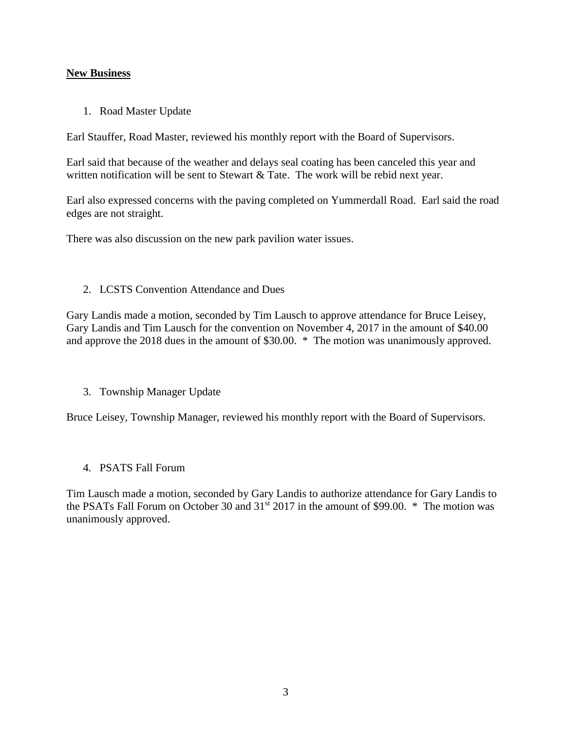# **New Business**

1. Road Master Update

Earl Stauffer, Road Master, reviewed his monthly report with the Board of Supervisors.

Earl said that because of the weather and delays seal coating has been canceled this year and written notification will be sent to Stewart & Tate. The work will be rebid next year.

Earl also expressed concerns with the paving completed on Yummerdall Road. Earl said the road edges are not straight.

There was also discussion on the new park pavilion water issues.

### 2. LCSTS Convention Attendance and Dues

Gary Landis made a motion, seconded by Tim Lausch to approve attendance for Bruce Leisey, Gary Landis and Tim Lausch for the convention on November 4, 2017 in the amount of \$40.00 and approve the 2018 dues in the amount of \$30.00. \* The motion was unanimously approved.

#### 3. Township Manager Update

Bruce Leisey, Township Manager, reviewed his monthly report with the Board of Supervisors.

# 4. PSATS Fall Forum

Tim Lausch made a motion, seconded by Gary Landis to authorize attendance for Gary Landis to the PSATs Fall Forum on October 30 and  $31<sup>st</sup> 2017$  in the amount of \$99.00.  $*$  The motion was unanimously approved.